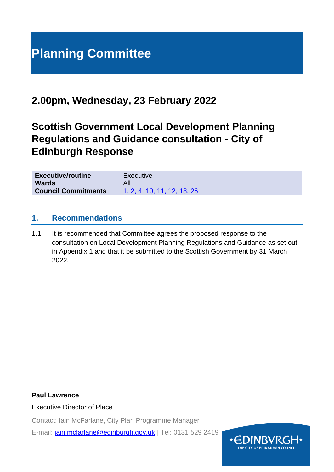# **Planning Committee**

# **2.00pm, Wednesday, 23 February 2022**

# **Scottish Government Local Development Planning Regulations and Guidance consultation - City of Edinburgh Response**

| <b>Executive/routine</b>   | Executive                   |
|----------------------------|-----------------------------|
| <b>Wards</b>               |                             |
| <b>Council Commitments</b> | 1, 2, 4, 10, 11, 12, 18, 26 |

### **1. Recommendations**

1.1 It is recommended that Committee agrees the proposed response to the consultation on Local Development Planning Regulations and Guidance as set out in Appendix 1 and that it be submitted to the Scottish Government by 31 March 2022.

**Paul Lawrence** Executive Director of Place

Contact: Iain McFarlane, City Plan Programme Manager

E-mail: [iain.mcfarlane@edinburgh.gov.uk](mailto:iain.mcfarlane@edinburgh.gov.uk) | Tel: 0131 529 2419

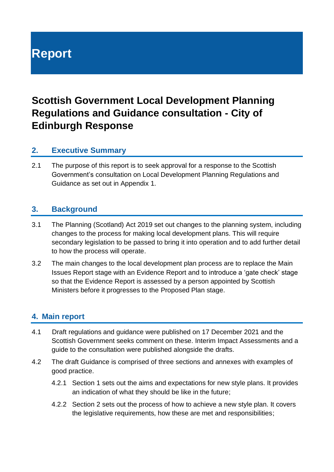# **Report**

# **Scottish Government Local Development Planning Regulations and Guidance consultation - City of Edinburgh Response**

# **2. Executive Summary**

2.1 The purpose of this report is to seek approval for a response to the Scottish Government's consultation on Local Development Planning Regulations and Guidance as set out in Appendix 1.

### **3. Background**

- 3.1 The Planning (Scotland) Act 2019 set out changes to the planning system, including changes to the process for making local development plans. This will require secondary legislation to be passed to bring it into operation and to add further detail to how the process will operate.
- 3.2 The main changes to the local development plan process are to replace the Main Issues Report stage with an Evidence Report and to introduce a 'gate check' stage so that the Evidence Report is assessed by a person appointed by Scottish Ministers before it progresses to the Proposed Plan stage.

# **4. Main report**

- 4.1 Draft regulations and guidance were published on 17 December 2021 and the Scottish Government seeks comment on these. Interim Impact Assessments and a guide to the consultation were published alongside the drafts.
- 4.2 The draft Guidance is comprised of three sections and annexes with examples of good practice.
	- 4.2.1 Section 1 sets out the aims and expectations for new style plans. It provides an indication of what they should be like in the future;
	- 4.2.2 Section 2 sets out the process of how to achieve a new style plan. It covers the legislative requirements, how these are met and responsibilities;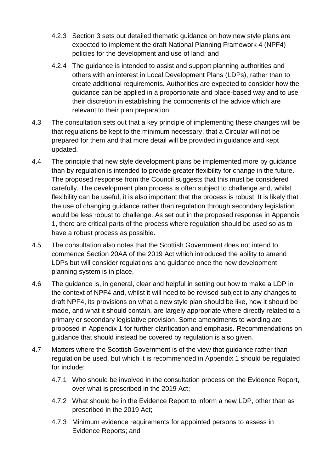- 4.2.3 Section 3 sets out detailed thematic guidance on how new style plans are expected to implement the draft National Planning Framework 4 (NPF4) policies for the development and use of land; and
- 4.2.4 The guidance is intended to assist and support planning authorities and others with an interest in Local Development Plans (LDPs), rather than to create additional requirements. Authorities are expected to consider how the guidance can be applied in a proportionate and place-based way and to use their discretion in establishing the components of the advice which are relevant to their plan preparation.
- 4.3 The consultation sets out that a key principle of implementing these changes will be that regulations be kept to the minimum necessary, that a Circular will not be prepared for them and that more detail will be provided in guidance and kept updated.
- 4.4 The principle that new style development plans be implemented more by guidance than by regulation is intended to provide greater flexibility for change in the future. The proposed response from the Council suggests that this must be considered carefully. The development plan process is often subject to challenge and, whilst flexibility can be useful, it is also important that the process is robust. It is likely that the use of changing guidance rather than regulation through secondary legislation would be less robust to challenge. As set out in the proposed response in Appendix 1, there are critical parts of the process where regulation should be used so as to have a robust process as possible.
- 4.5 The consultation also notes that the Scottish Government does not intend to commence Section 20AA of the 2019 Act which introduced the ability to amend LDPs but will consider regulations and guidance once the new development planning system is in place.
- 4.6 The guidance is, in general, clear and helpful in setting out how to make a LDP in the context of NPF4 and, whilst it will need to be revised subject to any changes to draft NPF4, its provisions on what a new style plan should be like, how it should be made, and what it should contain, are largely appropriate where directly related to a primary or secondary legislative provision. Some amendments to wording are proposed in Appendix 1 for further clarification and emphasis. Recommendations on guidance that should instead be covered by regulation is also given.
- 4.7 Matters where the Scottish Government is of the view that guidance rather than regulation be used, but which it is recommended in Appendix 1 should be regulated for include:
	- 4.7.1 Who should be involved in the consultation process on the Evidence Report, over what is prescribed in the 2019 Act;
	- 4.7.2 What should be in the Evidence Report to inform a new LDP, other than as prescribed in the 2019 Act;
	- 4.7.3 Minimum evidence requirements for appointed persons to assess in Evidence Reports; and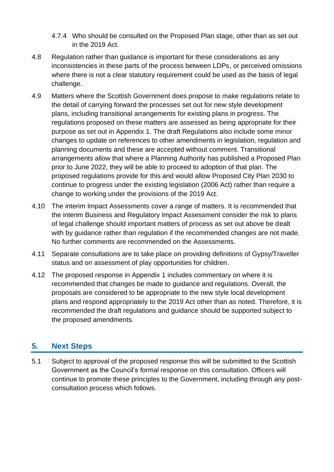- 4.7.4 Who should be consulted on the Proposed Plan stage, other than as set out in the 2019 Act.
- 4.8 Regulation rather than guidance is important for these considerations as any inconsistencies in these parts of the process between LDPs, or perceived omissions where there is not a clear statutory requirement could be used as the basis of legal challenge.
- 4.9 Matters where the Scottish Government does propose to make regulations relate to the detail of carrying forward the processes set out for new style development plans, including transitional arrangements for existing plans in progress. The regulations proposed on these matters are assessed as being appropriate for their purpose as set out in Appendix 1. The draft Regulations also include some minor changes to update on references to other amendments in legislation, regulation and planning documents and these are accepted without comment. Transitional arrangements allow that where a Planning Authority has published a Proposed Plan prior to June 2022, they will be able to proceed to adoption of that plan. The proposed regulations provide for this and would allow Proposed City Plan 2030 to continue to progress under the existing legislation (2006 Act) rather than require a change to working under the provisions of the 2019 Act.
- 4.10 The interim Impact Assessments cover a range of matters. It is recommended that the interim Business and Regulatory Impact Assessment consider the risk to plans of legal challenge should important matters of process as set out above be dealt with by quidance rather than regulation if the recommended changes are not made. No further comments are recommended on the Assessments.
- 4.11 Separate consultations are to take place on providing definitions of Gypsy/Traveller status and on assessment of play opportunities for children.
- 4.12 The proposed response in Appendix 1 includes commentary on where it is recommended that changes be made to guidance and regulations. Overall, the proposals are considered to be appropriate to the new style local development plans and respond appropriately to the 2019 Act other than as noted. Therefore, it is recommended the draft regulations and guidance should be supported subject to the proposed amendments.

# **5. Next Steps**

5.1 Subject to approval of the proposed response this will be submitted to the Scottish Government as the Council's formal response on this consultation. Officers will continue to promote these principles to the Government, including through any postconsultation process which follows.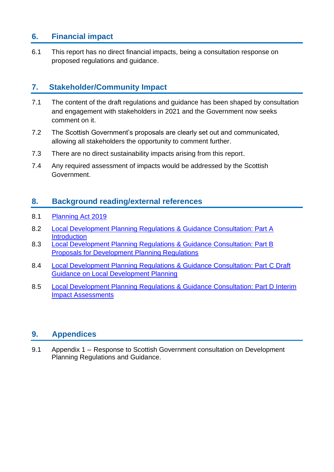# **6. Financial impact**

6.1 This report has no direct financial impacts, being a consultation response on proposed regulations and guidance.

# **7. Stakeholder/Community Impact**

- 7.1 The content of the draft regulations and guidance has been shaped by consultation and engagement with stakeholders in 2021 and the Government now seeks comment on it.
- 7.2 The Scottish Government's proposals are clearly set out and communicated, allowing all stakeholders the opportunity to comment further.
- 7.3 There are no direct sustainability impacts arising from this report.
- 7.4 Any required assessment of impacts would be addressed by the Scottish Government.

# **8. Background reading/external references**

- 8.1 [Planning Act 2019](https://www.legislation.gov.uk/asp/2019/13/contents/enacted)
- 8.2 [Local Development Planning Regulations & Guidance Consultation: Part A](https://www.gov.scot/publications/local-development-planning-regulations-guidance-consultation-part-introduction/)  **[Introduction](https://www.gov.scot/publications/local-development-planning-regulations-guidance-consultation-part-introduction/)**
- 8.3 [Local Development Planning Regulations & Guidance Consultation: Part B](https://www.gov.scot/publications/local-development-planning-regulations-guidance-consultation-part-b-proposals-development-planning-regulations/)  [Proposals for Development](https://www.gov.scot/publications/local-development-planning-regulations-guidance-consultation-part-b-proposals-development-planning-regulations/) Planning Regulations
- 8.4 [Local Development Planning Regulations & Guidance Consultation: Part C Draft](https://www.gov.scot/publications/local-development-planning-regulations-guidance-consultation-part-c-draft-guidance-local-development-planning/)  [Guidance on Local Development Planning](https://www.gov.scot/publications/local-development-planning-regulations-guidance-consultation-part-c-draft-guidance-local-development-planning/)
- 8.5 [Local Development Planning Regulations & Guidance Consultation: Part D Interim](https://www.gov.scot/publications/local-development-planning-regulations-guidance-consultation-part-d-interim-impact-assessments/)  [Impact Assessments](https://www.gov.scot/publications/local-development-planning-regulations-guidance-consultation-part-d-interim-impact-assessments/)

# **9. Appendices**

9.1 Appendix 1 – Response to Scottish Government consultation on Development Planning Regulations and Guidance.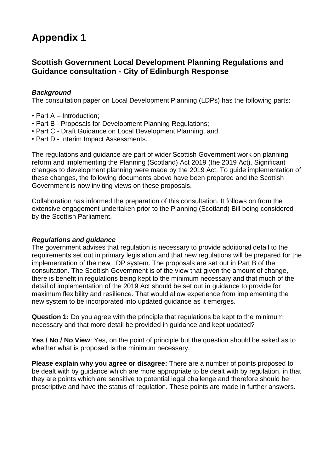# **Appendix 1**

# **Scottish Government Local Development Planning Regulations and Guidance consultation - City of Edinburgh Response**

#### *Background*

The consultation paper on Local Development Planning (LDPs) has the following parts:

- Part A Introduction;
- Part B Proposals for Development Planning Regulations;
- Part C Draft Guidance on Local Development Planning, and
- Part D Interim Impact Assessments.

The regulations and guidance are part of wider Scottish Government work on planning reform and implementing the Planning (Scotland) Act 2019 (the 2019 Act). Significant changes to development planning were made by the 2019 Act. To guide implementation of these changes, the following documents above have been prepared and the Scottish Government is now inviting views on these proposals.

Collaboration has informed the preparation of this consultation. It follows on from the extensive engagement undertaken prior to the Planning (Scotland) Bill being considered by the Scottish Parliament.

#### *Regulations and guidance*

The government advises that regulation is necessary to provide additional detail to the requirements set out in primary legislation and that new regulations will be prepared for the implementation of the new LDP system. The proposals are set out in Part B of the consultation. The Scottish Government is of the view that given the amount of change, there is benefit in regulations being kept to the minimum necessary and that much of the detail of implementation of the 2019 Act should be set out in guidance to provide for maximum flexibility and resilience. That would allow experience from implementing the new system to be incorporated into updated guidance as it emerges.

**Question 1:** Do you agree with the principle that regulations be kept to the minimum necessary and that more detail be provided in guidance and kept updated?

**Yes / No / No View**: Yes, on the point of principle but the question should be asked as to whether what is proposed is the minimum necessary.

**Please explain why you agree or disagree:** There are a number of points proposed to be dealt with by guidance which are more appropriate to be dealt with by regulation, in that they are points which are sensitive to potential legal challenge and therefore should be prescriptive and have the status of regulation. These points are made in further answers.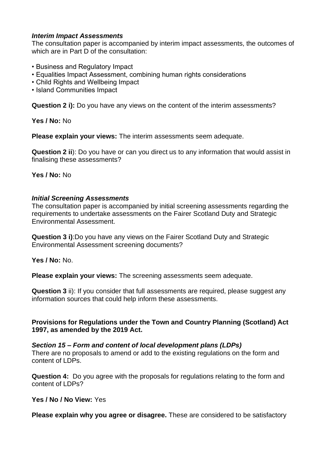#### *Interim Impact Assessments*

The consultation paper is accompanied by interim impact assessments, the outcomes of which are in Part D of the consultation:

- Business and Regulatory Impact
- Equalities Impact Assessment, combining human rights considerations
- Child Rights and Wellbeing Impact
- Island Communities Impact

**Question 2 i):** Do you have any views on the content of the interim assessments?

**Yes / No:** No

**Please explain your views:** The interim assessments seem adequate.

**Question 2 ii**): Do you have or can you direct us to any information that would assist in finalising these assessments?

**Yes / No:** No

#### *Initial Screening Assessments*

The consultation paper is accompanied by initial screening assessments regarding the requirements to undertake assessments on the Fairer Scotland Duty and Strategic Environmental Assessment.

**Question 3 i)**:Do you have any views on the Fairer Scotland Duty and Strategic Environmental Assessment screening documents?

**Yes / No:** No.

**Please explain your views:** The screening assessments seem adequate.

**Question 3** ii): If you consider that full assessments are required, please suggest any information sources that could help inform these assessments.

#### **Provisions for Regulations under the Town and Country Planning (Scotland) Act 1997, as amended by the 2019 Act.**

*Section 15 – Form and content of local development plans (LDPs)* There are no proposals to amend or add to the existing regulations on the form and content of LDPs.

**Question 4:** Do you agree with the proposals for regulations relating to the form and content of LDPs?

**Yes / No / No View:** Yes

**Please explain why you agree or disagree.** These are considered to be satisfactory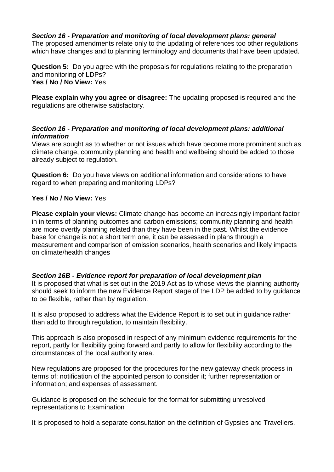#### *Section 16 - Preparation and monitoring of local development plans: general*

The proposed amendments relate only to the updating of references too other regulations which have changes and to planning terminology and documents that have been updated.

**Question 5:** Do you agree with the proposals for regulations relating to the preparation and monitoring of LDPs? **Yes / No / No View:** Yes

**Please explain why you agree or disagree:** The updating proposed is required and the regulations are otherwise satisfactory.

#### *Section 16 - Preparation and monitoring of local development plans: additional information*

Views are sought as to whether or not issues which have become more prominent such as climate change, community planning and health and wellbeing should be added to those already subject to regulation.

**Question 6:** Do you have views on additional information and considerations to have regard to when preparing and monitoring LDPs?

#### **Yes / No / No View:** Yes

**Please explain your views:** Climate change has become an increasingly important factor in in terms of planning outcomes and carbon emissions; community planning and health are more overtly planning related than they have been in the past. Whilst the evidence base for change is not a short term one, it can be assessed in plans through a measurement and comparison of emission scenarios, health scenarios and likely impacts on climate/health changes

#### *Section 16B - Evidence report for preparation of local development plan*

It is proposed that what is set out in the 2019 Act as to whose views the planning authority should seek to inform the new Evidence Report stage of the LDP be added to by guidance to be flexible, rather than by regulation.

It is also proposed to address what the Evidence Report is to set out in guidance rather than add to through regulation, to maintain flexibility.

This approach is also proposed in respect of any minimum evidence requirements for the report, partly for flexibility going forward and partly to allow for flexibility according to the circumstances of the local authority area.

New regulations are proposed for the procedures for the new gateway check process in terms of: notification of the appointed person to consider it; further representation or information; and expenses of assessment.

Guidance is proposed on the schedule for the format for submitting unresolved representations to Examination

It is proposed to hold a separate consultation on the definition of Gypsies and Travellers.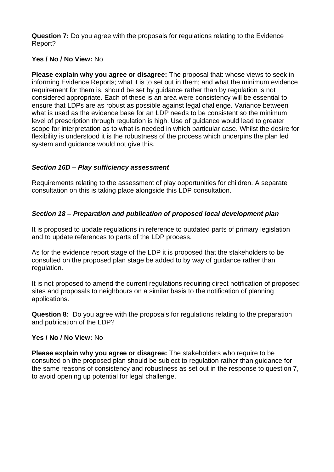**Question 7:** Do you agree with the proposals for regulations relating to the Evidence Report?

#### **Yes / No / No View:** No

**Please explain why you agree or disagree:** The proposal that: whose views to seek in informing Evidence Reports; what it is to set out in them; and what the minimum evidence requirement for them is, should be set by guidance rather than by regulation is not considered appropriate. Each of these is an area were consistency will be essential to ensure that LDPs are as robust as possible against legal challenge. Variance between what is used as the evidence base for an LDP needs to be consistent so the minimum level of prescription through regulation is high. Use of guidance would lead to greater scope for interpretation as to what is needed in which particular case. Whilst the desire for flexibility is understood it is the robustness of the process which underpins the plan led system and guidance would not give this.

#### *Section 16D – Play sufficiency assessment*

Requirements relating to the assessment of play opportunities for children. A separate consultation on this is taking place alongside this LDP consultation.

#### *Section 18 – Preparation and publication of proposed local development plan*

It is proposed to update regulations in reference to outdated parts of primary legislation and to update references to parts of the LDP process.

As for the evidence report stage of the LDP it is proposed that the stakeholders to be consulted on the proposed plan stage be added to by way of guidance rather than regulation.

It is not proposed to amend the current regulations requiring direct notification of proposed sites and proposals to neighbours on a similar basis to the notification of planning applications.

**Question 8:** Do you agree with the proposals for regulations relating to the preparation and publication of the LDP?

#### **Yes / No / No View:** No

**Please explain why you agree or disagree:** The stakeholders who require to be consulted on the proposed plan should be subject to regulation rather than guidance for the same reasons of consistency and robustness as set out in the response to question 7, to avoid opening up potential for legal challenge.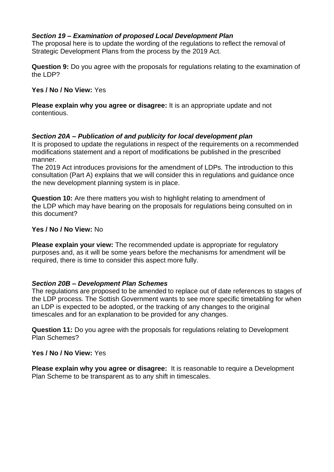#### *Section 19 – Examination of proposed Local Development Plan*

The proposal here is to update the wording of the regulations to reflect the removal of Strategic Development Plans from the process by the 2019 Act.

**Question 9:** Do you agree with the proposals for regulations relating to the examination of the LDP?

#### **Yes / No / No View:** Yes

**Please explain why you agree or disagree:** It is an appropriate update and not contentious.

#### *Section 20A – Publication of and publicity for local development plan*

It is proposed to update the regulations in respect of the requirements on a recommended modifications statement and a report of modifications be published in the prescribed manner.

The 2019 Act introduces provisions for the amendment of LDPs. The introduction to this consultation (Part A) explains that we will consider this in regulations and guidance once the new development planning system is in place.

**Question 10:** Are there matters you wish to highlight relating to amendment of the LDP which may have bearing on the proposals for regulations being consulted on in this document?

#### **Yes / No / No View:** No

**Please explain your view:** The recommended update is appropriate for regulatory purposes and, as it will be some years before the mechanisms for amendment will be required, there is time to consider this aspect more fully.

#### *Section 20B – Development Plan Schemes*

The regulations are proposed to be amended to replace out of date references to stages of the LDP process. The Sottish Government wants to see more specific timetabling for when an LDP is expected to be adopted, or the tracking of any changes to the original timescales and for an explanation to be provided for any changes.

**Question 11:** Do you agree with the proposals for regulations relating to Development Plan Schemes?

#### **Yes / No / No View:** Yes

**Please explain why you agree or disagree:** It is reasonable to require a Development Plan Scheme to be transparent as to any shift in timescales.